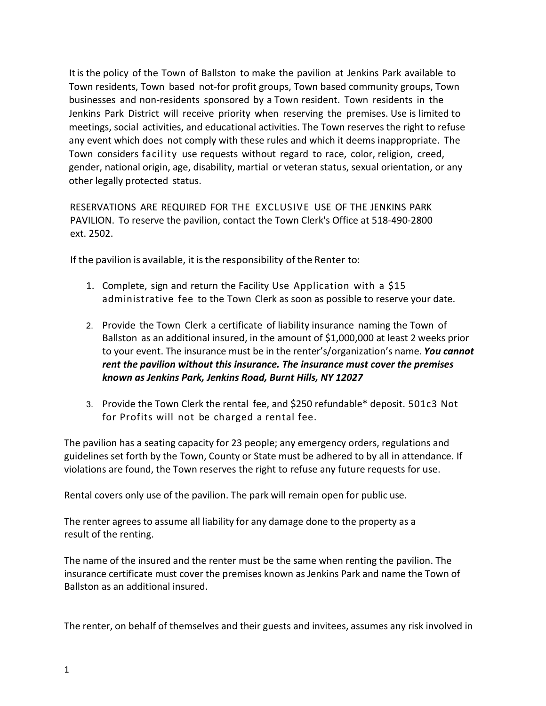It is the policy of the Town of Ballston to make the pavilion at Jenkins Park available to Town residents, Town based not-for profit groups, Town based community groups, Town businesses and non-residents sponsored by a Town resident. Town residents in the Jenkins Park District will receive priority when reserving the premises. Use is limited to meetings, social activities, and educational activities. The Town reserves the right to refuse any event which does not comply with these rules and which it deems inappropriate. The Town considers facility use requests without regard to race, color, religion, creed, gender, national origin, age, disability, martial or veteran status, sexual orientation, or any other legally protected status.

RESERVATIONS ARE REQUIRED FOR THE EXCLUSIVE USE OF THE JENKINS PARK PAVILION. To reserve the pavilion, contact the Town Clerk's Office at 518-490-2800 ext. 2502.

If the pavilion is available, it is the responsibility of the Renter to:

- 1. Complete, sign and return the Facility Use Application with a \$15 administrative fee to the Town Clerk as soon as possible to reserve your date.
- 2. Provide the Town Clerk a certificate of liability insurance naming the Town of Ballston as an additional insured, in the amount of \$1,000,000 at least 2 weeks prior to your event. The insurance must be in the renter's/organization's name. *You cannot rent the pavilion without this insurance. The insurance must cover the premises known as Jenkins Park, Jenkins Road, Burnt Hills, NY 12027*
- 3. Provide the Town Clerk the rental fee, and \$250 refundable\* deposit. 501c3 Not for Profits will not be charged a rental fee.

The pavilion has a seating capacity for 23 people; any emergency orders, regulations and guidelines set forth by the Town, County or State must be adhered to by all in attendance. If violations are found, the Town reserves the right to refuse any future requests for use.

Rental covers only use of the pavilion. The park will remain open for public use.

The renter agrees to assume all liability for any damage done to the property as a result of the renting.

The name of the insured and the renter must be the same when renting the pavilion. The insurance certificate must cover the premises known as Jenkins Park and name the Town of Ballston as an additional insured.

The renter, on behalf of themselves and their guests and invitees, assumes any risk involved in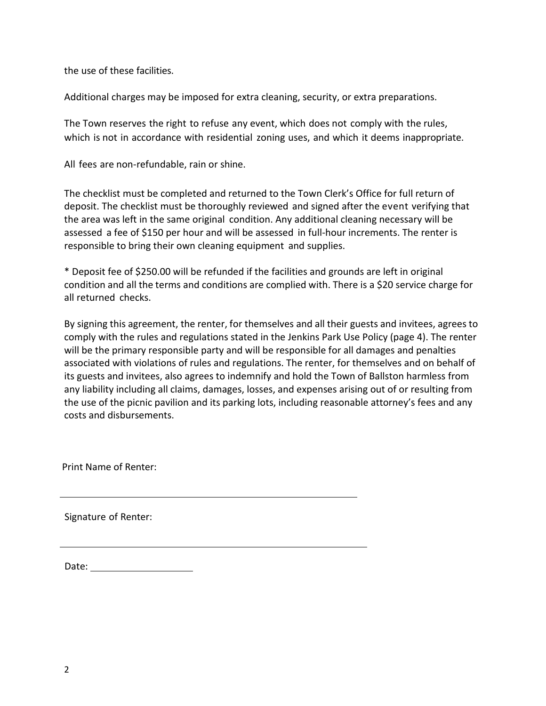the use of these facilities.

Additional charges may be imposed for extra cleaning, security, or extra preparations.

The Town reserves the right to refuse any event, which does not comply with the rules, which is not in accordance with residential zoning uses, and which it deems inappropriate.

All fees are non-refundable, rain or shine.

The checklist must be completed and returned to the Town Clerk's Office for full return of deposit. The checklist must be thoroughly reviewed and signed after the event verifying that the area was left in the same original condition. Any additional cleaning necessary will be assessed a fee of \$150 per hour and will be assessed in full-hour increments. The renter is responsible to bring their own cleaning equipment and supplies.

\* Deposit fee of \$250.00 will be refunded if the facilities and grounds are left in original condition and all the terms and conditions are complied with. There is a \$20 service charge for all returned checks.

By signing this agreement, the renter, for themselves and all their guests and invitees, agrees to comply with the rules and regulations stated in the Jenkins Park Use Policy (page 4). The renter will be the primary responsible party and will be responsible for all damages and penalties associated with violations of rules and regulations. The renter, for themselves and on behalf of its guests and invitees, also agrees to indemnify and hold the Town of Ballston harmless from any liability including all claims, damages, losses, and expenses arising out of or resulting from the use of the picnic pavilion and its parking lots, including reasonable attorney's fees and any costs and disbursements.

Print Name of Renter:

Signature of Renter:

Date: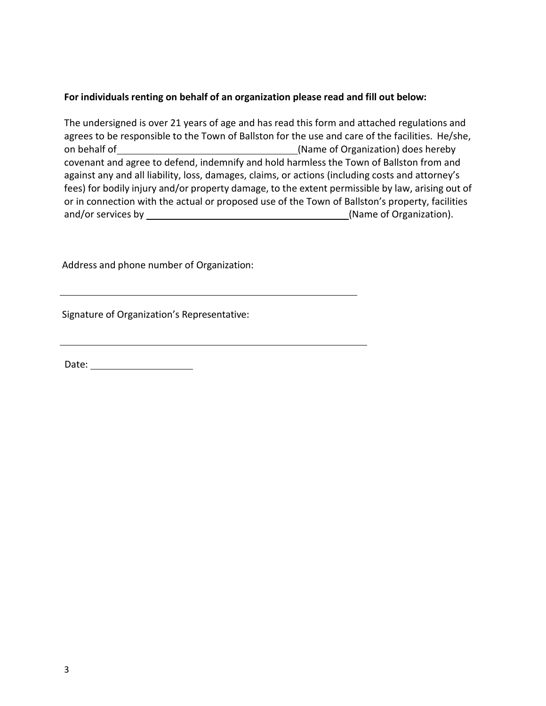## **For individuals renting on behalf of an organization please read and fill out below:**

The undersigned is over 21 years of age and has read this form and attached regulations and agrees to be responsible to the Town of Ballston for the use and care of the facilities. He/she, on behalf of (Name of Organization) does hereby covenant and agree to defend, indemnify and hold harmless the Town of Ballston from and against any and all liability, loss, damages, claims, or actions (including costs and attorney's fees) for bodily injury and/or property damage, to the extent permissible by law, arising out of or in connection with the actual or proposed use of the Town of Ballston's property, facilities and/or services by (Name of Organization).

Address and phone number of Organization:

Signature of Organization's Representative:

Date: the contract of the contract of the contract of the contract of the contract of the contract of the contract of the contract of the contract of the contract of the contract of the contract of the contract of the cont